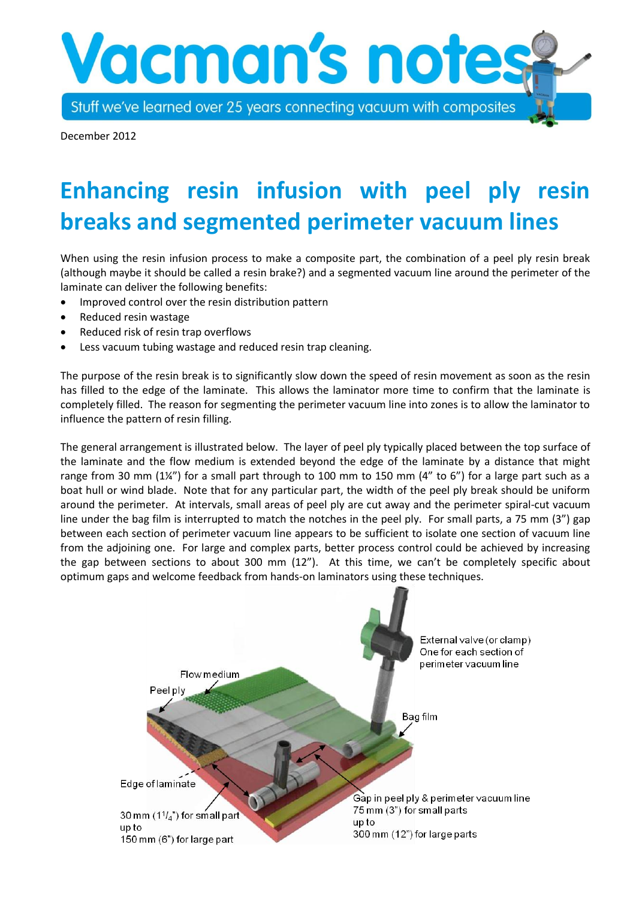Stuff we've learned over 25 years connecting vacuum with composites

**Vacman's note** 

December 2012

## **Enhancing resin infusion with peel ply resin breaks and segmented perimeter vacuum lines**

When using the resin infusion process to make a composite part, the combination of a peel ply resin break (although maybe it should be called a resin brake?) and a segmented vacuum line around the perimeter of the laminate can deliver the following benefits:

- Improved control over the resin distribution pattern
- Reduced resin wastage
- Reduced risk of resin trap overflows
- Less vacuum tubing wastage and reduced resin trap cleaning.

The purpose of the resin break is to significantly slow down the speed of resin movement as soon as the resin has filled to the edge of the laminate. This allows the laminator more time to confirm that the laminate is completely filled. The reason for segmenting the perimeter vacuum line into zones is to allow the laminator to influence the pattern of resin filling.

The general arrangement is illustrated below. The layer of peel ply typically placed between the top surface of the laminate and the flow medium is extended beyond the edge of the laminate by a distance that might range from 30 mm  $(1\frac{1}{4})$  for a small part through to 100 mm to 150 mm  $(4"$  to 6") for a large part such as a boat hull or wind blade. Note that for any particular part, the width of the peel ply break should be uniform around the perimeter. At intervals, small areas of peel ply are cut away and the perimeter spiral-cut vacuum line under the bag film is interrupted to match the notches in the peel ply. For small parts, a 75 mm (3") gap between each section of perimeter vacuum line appears to be sufficient to isolate one section of vacuum line from the adjoining one. For large and complex parts, better process control could be achieved by increasing the gap between sections to about 300 mm (12"). At this time, we can't be completely specific about optimum gaps and welcome feedback from hands-on laminators using these techniques.

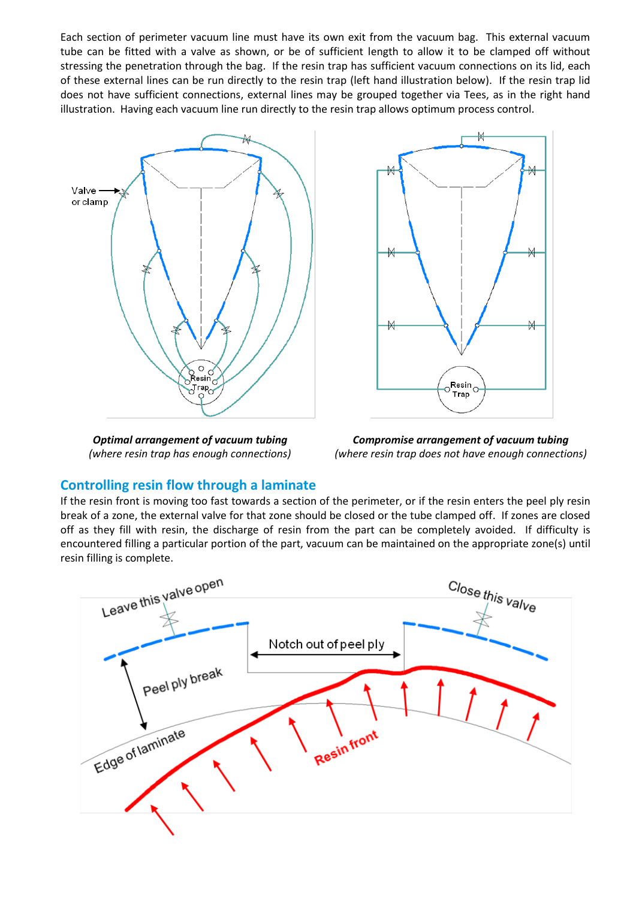Each section of perimeter vacuum line must have its own exit from the vacuum bag. This external vacuum tube can be fitted with a valve as shown, or be of sufficient length to allow it to be clamped off without stressing the penetration through the bag. If the resin trap has sufficient vacuum connections on its lid, each of these external lines can be run directly to the resin trap (left hand illustration below). If the resin trap lid does not have sufficient connections, external lines may be grouped together via Tees, as in the right hand illustration. Having each vacuum line run directly to the resin trap allows optimum process control.



*Optimal arrangement of vacuum tubing (where resin trap has enough connections)*



*Compromise arrangement of vacuum tubing (where resin trap does not have enough connections)*

## **Controlling resin flow through a laminate**

If the resin front is moving too fast towards a section of the perimeter, or if the resin enters the peel ply resin break of a zone, the external valve for that zone should be closed or the tube clamped off. If zones are closed off as they fill with resin, the discharge of resin from the part can be completely avoided. If difficulty is encountered filling a particular portion of the part, vacuum can be maintained on the appropriate zone(s) until resin filling is complete.